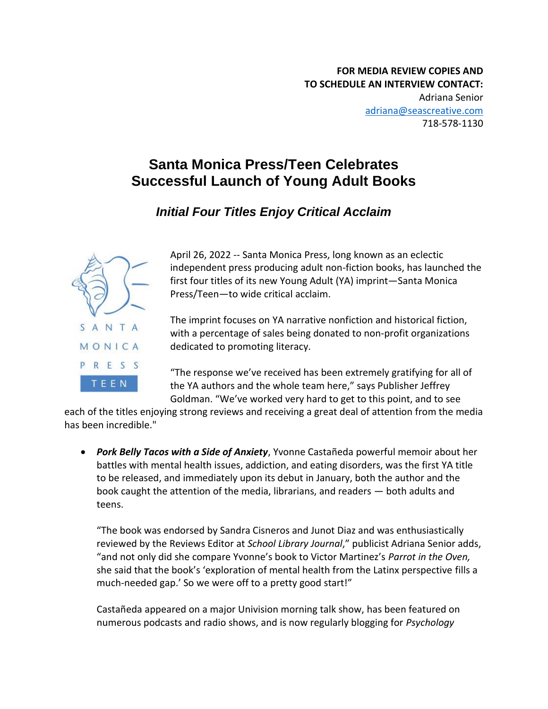## **Santa Monica Press/Teen Celebrates Successful Launch of Young Adult Books**

## *Initial Four Titles Enjoy Critical Acclaim*



April 26, 2022 -- Santa Monica Press, long known as an eclectic independent press producing adult non-fiction books, has launched the first four titles of its new Young Adult (YA) imprint—Santa Monica Press/Teen—to wide critical acclaim.

The imprint focuses on YA narrative nonfiction and historical fiction, with a percentage of sales being donated to non-profit organizations dedicated to promoting literacy.

"The response we've received has been extremely gratifying for all of the YA authors and the whole team here," says Publisher Jeffrey Goldman. "We've worked very hard to get to this point, and to see

each of the titles enjoying strong reviews and receiving a great deal of attention from the media has been incredible."

• *Pork Belly Tacos with a Side of Anxiety*, Yvonne Castañeda powerful memoir about her battles with mental health issues, addiction, and eating disorders, was the first YA title to be released, and immediately upon its debut in January, both the author and the book caught the attention of the media, librarians, and readers — both adults and teens.

"The book was endorsed by Sandra Cisneros and Junot Diaz and was enthusiastically reviewed by the Reviews Editor at *School Library Journal*," publicist Adriana Senior adds, "and not only did she compare Yvonne's book to Victor Martinez's *Parrot in the Oven,*  she said that the book's 'exploration of mental health from the Latinx perspective fills a much-needed gap.' So we were off to a pretty good start!"

Castañeda appeared on a major Univision morning talk show, has been featured on numerous podcasts and radio shows, and is now regularly blogging for *Psychology*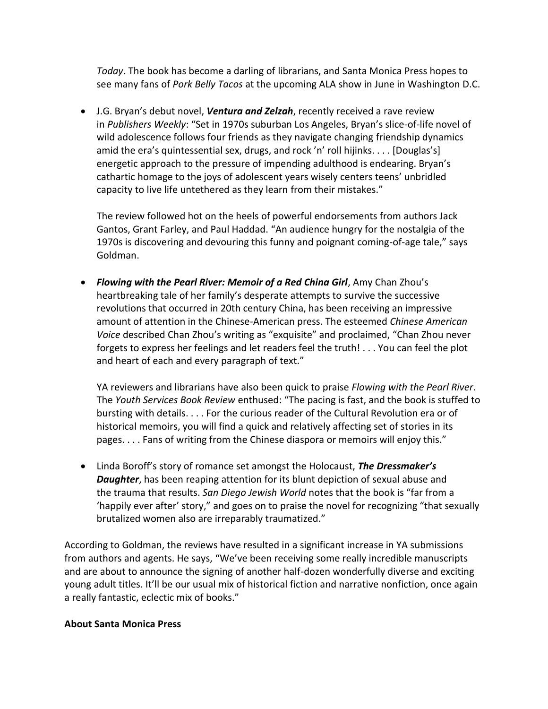*Today*. The book has become a darling of librarians, and Santa Monica Press hopes to see many fans of *Pork Belly Tacos* at the upcoming ALA show in June in Washington D.C.

• J.G. Bryan's debut novel, *Ventura and Zelzah*, recently received a rave review in *Publishers Weekly*: "Set in 1970s suburban Los Angeles, Bryan's slice-of-life novel of wild adolescence follows four friends as they navigate changing friendship dynamics amid the era's quintessential sex, drugs, and rock 'n' roll hijinks. . . . [Douglas's] energetic approach to the pressure of impending adulthood is endearing. Bryan's cathartic homage to the joys of adolescent years wisely centers teens' unbridled capacity to live life untethered as they learn from their mistakes."

The review followed hot on the heels of powerful endorsements from authors Jack Gantos, Grant Farley, and Paul Haddad. "An audience hungry for the nostalgia of the 1970s is discovering and devouring this funny and poignant coming-of-age tale," says Goldman.

• *Flowing with the Pearl River: Memoir of a Red China Girl*, Amy Chan Zhou's heartbreaking tale of her family's desperate attempts to survive the successive revolutions that occurred in 20th century China, has been receiving an impressive amount of attention in the Chinese-American press. The esteemed *Chinese American Voice* described Chan Zhou's writing as "exquisite" and proclaimed, "Chan Zhou never forgets to express her feelings and let readers feel the truth! . . . You can feel the plot and heart of each and every paragraph of text."

YA reviewers and librarians have also been quick to praise *Flowing with the Pearl River*. The *Youth Services Book Review* enthused: "The pacing is fast, and the book is stuffed to bursting with details. . . . For the curious reader of the Cultural Revolution era or of historical memoirs, you will find a quick and relatively affecting set of stories in its pages. . . . Fans of writing from the Chinese diaspora or memoirs will enjoy this."

• Linda Boroff's story of romance set amongst the Holocaust, *The Dressmaker's Daughter*, has been reaping attention for its blunt depiction of sexual abuse and the trauma that results. *San Diego Jewish World* notes that the book is "far from a 'happily ever after' story," and goes on to praise the novel for recognizing "that sexually brutalized women also are irreparably traumatized."

According to Goldman, the reviews have resulted in a significant increase in YA submissions from authors and agents. He says, "We've been receiving some really incredible manuscripts and are about to announce the signing of another half-dozen wonderfully diverse and exciting young adult titles. It'll be our usual mix of historical fiction and narrative nonfiction, once again a really fantastic, eclectic mix of books."

## **About Santa Monica Press**